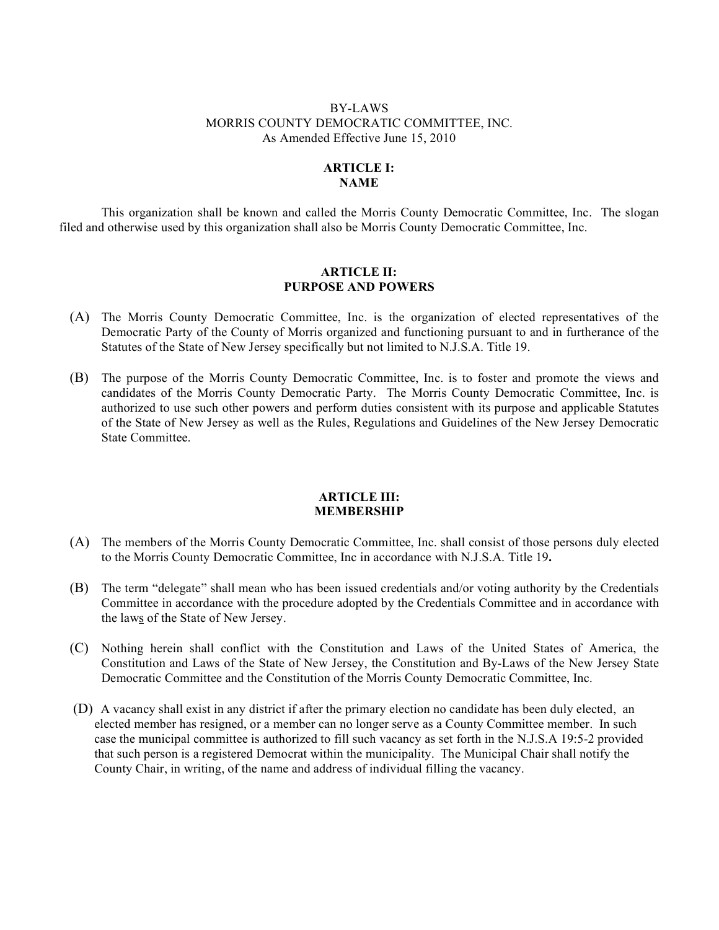## BY-LAWS MORRIS COUNTY DEMOCRATIC COMMITTEE, INC. As Amended Effective June 15, 2010

# **ARTICLE I: NAME**

This organization shall be known and called the Morris County Democratic Committee, Inc. The slogan filed and otherwise used by this organization shall also be Morris County Democratic Committee, Inc.

### **ARTICLE II: PURPOSE AND POWERS**

- (A) The Morris County Democratic Committee, Inc. is the organization of elected representatives of the Democratic Party of the County of Morris organized and functioning pursuant to and in furtherance of the Statutes of the State of New Jersey specifically but not limited to N.J.S.A. Title 19.
- (B) The purpose of the Morris County Democratic Committee, Inc. is to foster and promote the views and candidates of the Morris County Democratic Party. The Morris County Democratic Committee, Inc. is authorized to use such other powers and perform duties consistent with its purpose and applicable Statutes of the State of New Jersey as well as the Rules, Regulations and Guidelines of the New Jersey Democratic State Committee.

### **ARTICLE III: MEMBERSHIP**

- (A) The members of the Morris County Democratic Committee, Inc. shall consist of those persons duly elected to the Morris County Democratic Committee, Inc in accordance with N.J.S.A. Title 19**.**
- (B) The term "delegate" shall mean who has been issued credentials and/or voting authority by the Credentials Committee in accordance with the procedure adopted by the Credentials Committee and in accordance with the laws of the State of New Jersey.
- (C) Nothing herein shall conflict with the Constitution and Laws of the United States of America, the Constitution and Laws of the State of New Jersey, the Constitution and By-Laws of the New Jersey State Democratic Committee and the Constitution of the Morris County Democratic Committee, Inc.
- (D) A vacancy shall exist in any district if after the primary election no candidate has been duly elected, an elected member has resigned, or a member can no longer serve as a County Committee member. In such case the municipal committee is authorized to fill such vacancy as set forth in the N.J.S.A 19:5-2 provided that such person is a registered Democrat within the municipality.The Municipal Chair shall notify the County Chair, in writing, of the name and address of individual filling the vacancy.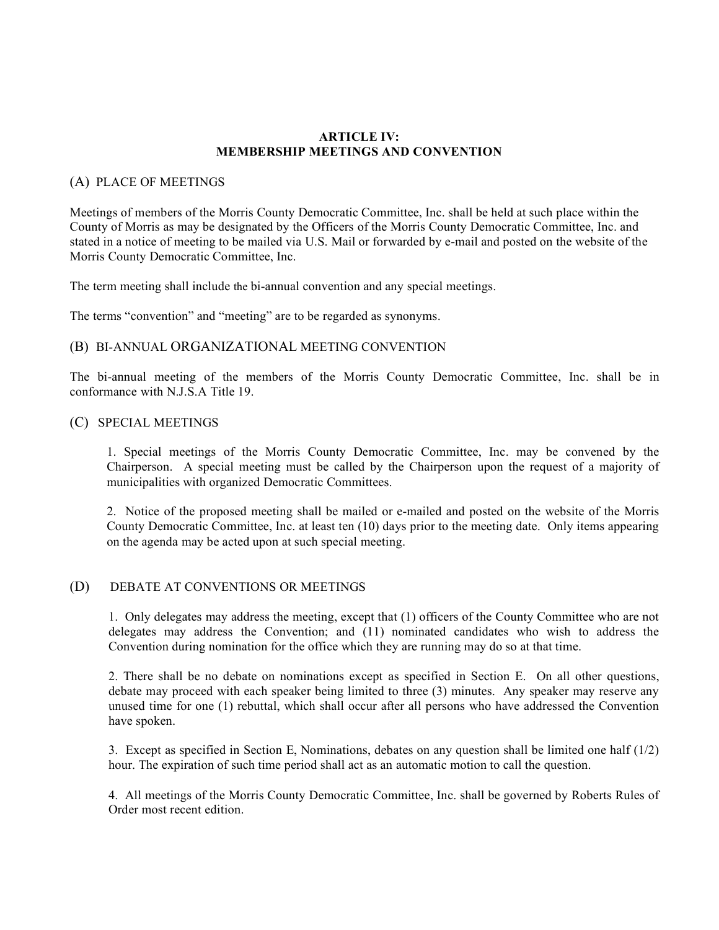## **ARTICLE IV: MEMBERSHIP MEETINGS AND CONVENTION**

#### (A) PLACE OF MEETINGS

Meetings of members of the Morris County Democratic Committee, Inc. shall be held at such place within the County of Morris as may be designated by the Officers of the Morris County Democratic Committee, Inc. and stated in a notice of meeting to be mailed via U.S. Mail or forwarded by e-mail and posted on the website of the Morris County Democratic Committee, Inc.

The term meeting shall include the bi-annual convention and any special meetings.

The terms "convention" and "meeting" are to be regarded as synonyms.

## (B) BI-ANNUAL ORGANIZATIONAL MEETING CONVENTION

The bi-annual meeting of the members of the Morris County Democratic Committee, Inc. shall be in conformance with N.J.S.A Title 19.

### (C) SPECIAL MEETINGS

1. Special meetings of the Morris County Democratic Committee, Inc. may be convened by the Chairperson. A special meeting must be called by the Chairperson upon the request of a majority of municipalities with organized Democratic Committees.

2. Notice of the proposed meeting shall be mailed or e-mailed and posted on the website of the Morris County Democratic Committee, Inc. at least ten (10) days prior to the meeting date. Only items appearing on the agenda may be acted upon at such special meeting.

### (D) DEBATE AT CONVENTIONS OR MEETINGS

1. Only delegates may address the meeting, except that (1) officers of the County Committee who are not delegates may address the Convention; and (11) nominated candidates who wish to address the Convention during nomination for the office which they are running may do so at that time.

2. There shall be no debate on nominations except as specified in Section E. On all other questions, debate may proceed with each speaker being limited to three (3) minutes. Any speaker may reserve any unused time for one (1) rebuttal, which shall occur after all persons who have addressed the Convention have spoken.

3. Except as specified in Section E, Nominations, debates on any question shall be limited one half (1/2) hour. The expiration of such time period shall act as an automatic motion to call the question.

4. All meetings of the Morris County Democratic Committee, Inc. shall be governed by Roberts Rules of Order most recent edition.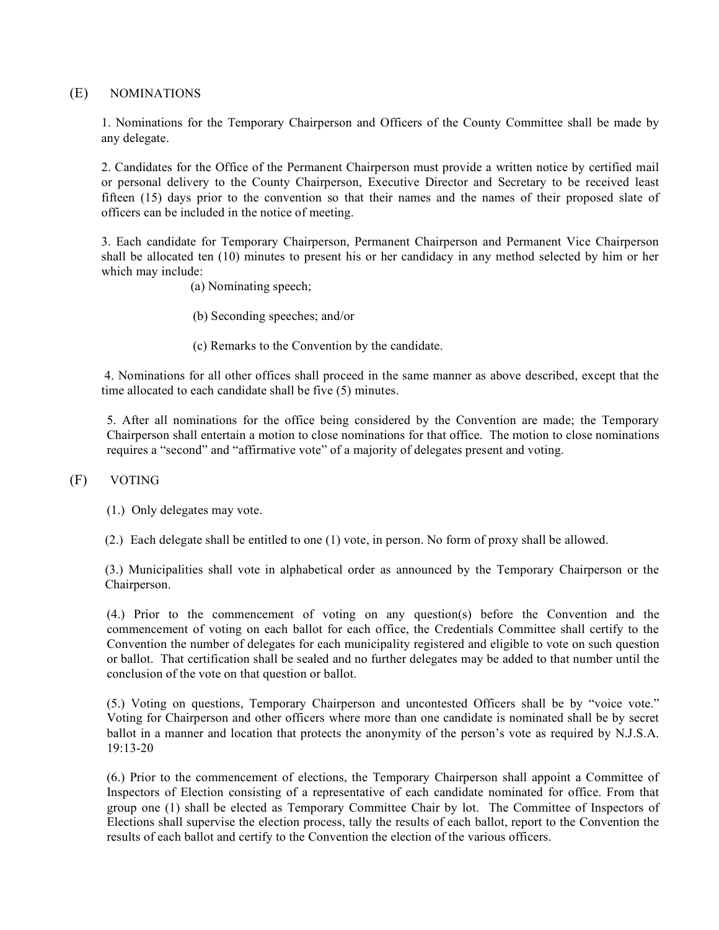## (E) NOMINATIONS

1. Nominations for the Temporary Chairperson and Officers of the County Committee shall be made by any delegate.

2. Candidates for the Office of the Permanent Chairperson must provide a written notice by certified mail or personal delivery to the County Chairperson, Executive Director and Secretary to be received least fifteen (15) days prior to the convention so that their names and the names of their proposed slate of officers can be included in the notice of meeting.

3. Each candidate for Temporary Chairperson, Permanent Chairperson and Permanent Vice Chairperson shall be allocated ten (10) minutes to present his or her candidacy in any method selected by him or her which may include:

- (a) Nominating speech;
- (b) Seconding speeches; and/or
- (c) Remarks to the Convention by the candidate.

4. Nominations for all other offices shall proceed in the same manner as above described, except that the time allocated to each candidate shall be five (5) minutes.

5. After all nominations for the office being considered by the Convention are made; the Temporary Chairperson shall entertain a motion to close nominations for that office. The motion to close nominations requires a "second" and "affirmative vote" of a majority of delegates present and voting.

#### (F) VOTING

(1.) Only delegates may vote.

(2.) Each delegate shall be entitled to one (1) vote, in person. No form of proxy shall be allowed.

(3.) Municipalities shall vote in alphabetical order as announced by the Temporary Chairperson or the Chairperson.

(4.) Prior to the commencement of voting on any question(s) before the Convention and the commencement of voting on each ballot for each office, the Credentials Committee shall certify to the Convention the number of delegates for each municipality registered and eligible to vote on such question or ballot. That certification shall be sealed and no further delegates may be added to that number until the conclusion of the vote on that question or ballot.

(5.) Voting on questions, Temporary Chairperson and uncontested Officers shall be by "voice vote." Voting for Chairperson and other officers where more than one candidate is nominated shall be by secret ballot in a manner and location that protects the anonymity of the person's vote as required by N.J.S.A. 19:13-20

(6.) Prior to the commencement of elections, the Temporary Chairperson shall appoint a Committee of Inspectors of Election consisting of a representative of each candidate nominated for office. From that group one (1) shall be elected as Temporary Committee Chair by lot. The Committee of Inspectors of Elections shall supervise the election process, tally the results of each ballot, report to the Convention the results of each ballot and certify to the Convention the election of the various officers.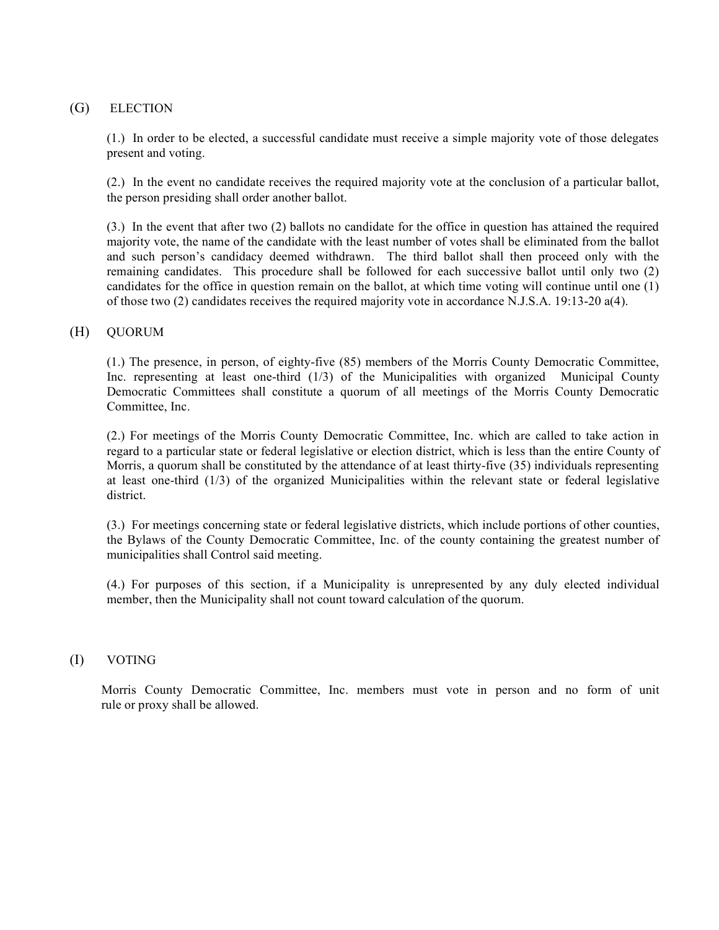# (G) ELECTION

(1.) In order to be elected, a successful candidate must receive a simple majority vote of those delegates present and voting.

(2.) In the event no candidate receives the required majority vote at the conclusion of a particular ballot, the person presiding shall order another ballot.

(3.) In the event that after two (2) ballots no candidate for the office in question has attained the required majority vote, the name of the candidate with the least number of votes shall be eliminated from the ballot and such person's candidacy deemed withdrawn. The third ballot shall then proceed only with the remaining candidates. This procedure shall be followed for each successive ballot until only two (2) candidates for the office in question remain on the ballot, at which time voting will continue until one (1) of those two (2) candidates receives the required majority vote in accordance N.J.S.A. 19:13-20 a(4).

## (H) QUORUM

(1.) The presence, in person, of eighty-five (85) members of the Morris County Democratic Committee, Inc. representing at least one-third (1/3) of the Municipalities with organized Municipal County Democratic Committees shall constitute a quorum of all meetings of the Morris County Democratic Committee, Inc.

(2.) For meetings of the Morris County Democratic Committee, Inc. which are called to take action in regard to a particular state or federal legislative or election district, which is less than the entire County of Morris, a quorum shall be constituted by the attendance of at least thirty-five (35) individuals representing at least one-third (1/3) of the organized Municipalities within the relevant state or federal legislative district.

(3.) For meetings concerning state or federal legislative districts, which include portions of other counties, the Bylaws of the County Democratic Committee, Inc. of the county containing the greatest number of municipalities shall Control said meeting.

(4.) For purposes of this section, if a Municipality is unrepresented by any duly elected individual member, then the Municipality shall not count toward calculation of the quorum.

#### (I) VOTING

Morris County Democratic Committee, Inc. members must vote in person and no form of unit rule or proxy shall be allowed.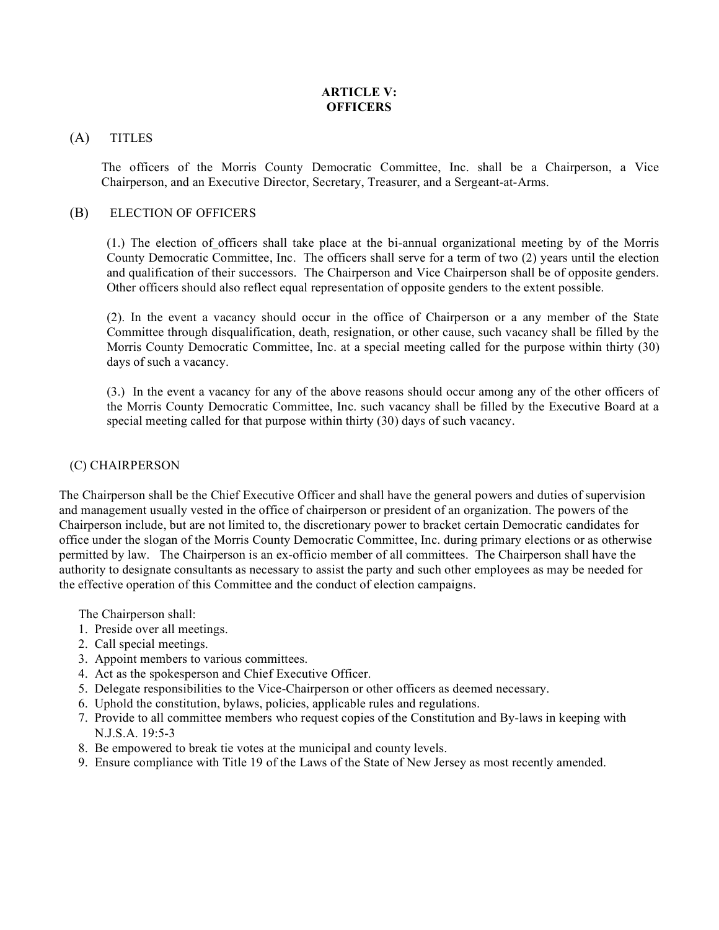# **ARTICLE V: OFFICERS**

## (A) TITLES

The officers of the Morris County Democratic Committee, Inc. shall be a Chairperson, a Vice Chairperson, and an Executive Director, Secretary, Treasurer, and a Sergeant-at-Arms.

# (B) ELECTION OF OFFICERS

(1.) The election of officers shall take place at the bi-annual organizational meeting by of the Morris County Democratic Committee, Inc. The officers shall serve for a term of two (2) years until the election and qualification of their successors. The Chairperson and Vice Chairperson shall be of opposite genders. Other officers should also reflect equal representation of opposite genders to the extent possible.

(2). In the event a vacancy should occur in the office of Chairperson or a any member of the State Committee through disqualification, death, resignation, or other cause, such vacancy shall be filled by the Morris County Democratic Committee, Inc. at a special meeting called for the purpose within thirty (30) days of such a vacancy.

(3.) In the event a vacancy for any of the above reasons should occur among any of the other officers of the Morris County Democratic Committee, Inc. such vacancy shall be filled by the Executive Board at a special meeting called for that purpose within thirty (30) days of such vacancy.

# (C) CHAIRPERSON

The Chairperson shall be the Chief Executive Officer and shall have the general powers and duties of supervision and management usually vested in the office of chairperson or president of an organization. The powers of the Chairperson include, but are not limited to, the discretionary power to bracket certain Democratic candidates for office under the slogan of the Morris County Democratic Committee, Inc. during primary elections or as otherwise permitted by law. The Chairperson is an ex-officio member of all committees. The Chairperson shall have the authority to designate consultants as necessary to assist the party and such other employees as may be needed for the effective operation of this Committee and the conduct of election campaigns.

The Chairperson shall:

- 1. Preside over all meetings.
- 2. Call special meetings.
- 3. Appoint members to various committees.
- 4. Act as the spokesperson and Chief Executive Officer.
- 5. Delegate responsibilities to the Vice-Chairperson or other officers as deemed necessary.
- 6. Uphold the constitution, bylaws, policies, applicable rules and regulations.
- 7. Provide to all committee members who request copies of the Constitution and By-laws in keeping with N.J.S.A. 19:5-3
- 8. Be empowered to break tie votes at the municipal and county levels.
- 9. Ensure compliance with Title 19 of the Laws of the State of New Jersey as most recently amended.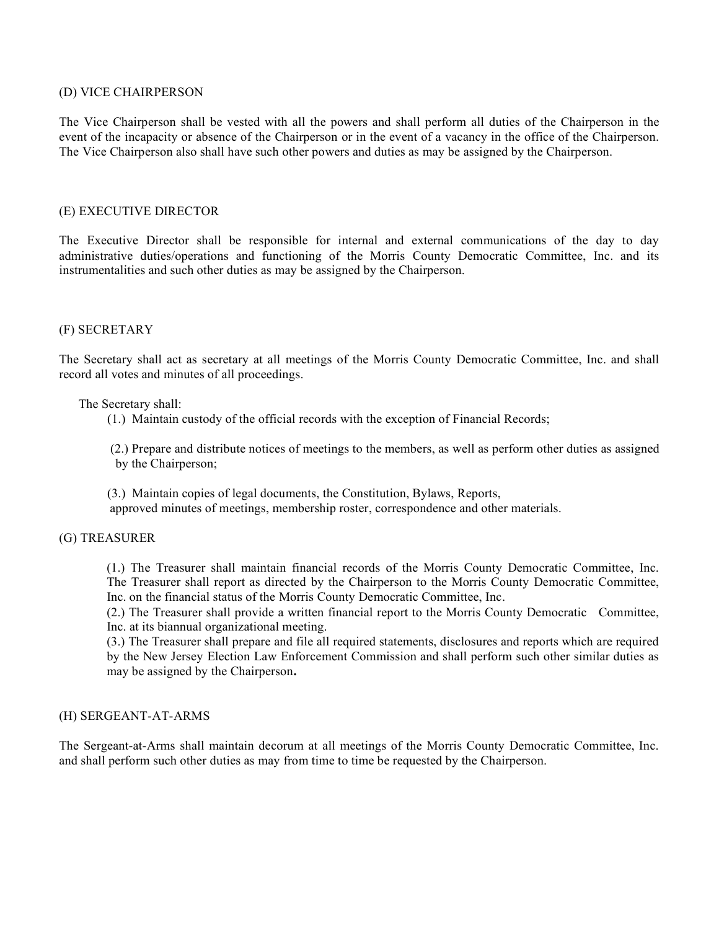### (D) VICE CHAIRPERSON

The Vice Chairperson shall be vested with all the powers and shall perform all duties of the Chairperson in the event of the incapacity or absence of the Chairperson or in the event of a vacancy in the office of the Chairperson. The Vice Chairperson also shall have such other powers and duties as may be assigned by the Chairperson.

## (E) EXECUTIVE DIRECTOR

The Executive Director shall be responsible for internal and external communications of the day to day administrative duties/operations and functioning of the Morris County Democratic Committee, Inc. and its instrumentalities and such other duties as may be assigned by the Chairperson.

# (F) SECRETARY

The Secretary shall act as secretary at all meetings of the Morris County Democratic Committee, Inc. and shall record all votes and minutes of all proceedings.

The Secretary shall:

(1.) Maintain custody of the official records with the exception of Financial Records;

 (2.) Prepare and distribute notices of meetings to the members, as well as perform other duties as assigned by the Chairperson;

 (3.) Maintain copies of legal documents, the Constitution, Bylaws, Reports, approved minutes of meetings, membership roster, correspondence and other materials.

## (G) TREASURER

(1.) The Treasurer shall maintain financial records of the Morris County Democratic Committee, Inc. The Treasurer shall report as directed by the Chairperson to the Morris County Democratic Committee, Inc. on the financial status of the Morris County Democratic Committee, Inc.

(2.) The Treasurer shall provide a written financial report to the Morris County Democratic Committee, Inc. at its biannual organizational meeting.

(3.) The Treasurer shall prepare and file all required statements, disclosures and reports which are required by the New Jersey Election Law Enforcement Commission and shall perform such other similar duties as may be assigned by the Chairperson**.**

# (H) SERGEANT-AT-ARMS

The Sergeant-at-Arms shall maintain decorum at all meetings of the Morris County Democratic Committee, Inc. and shall perform such other duties as may from time to time be requested by the Chairperson.